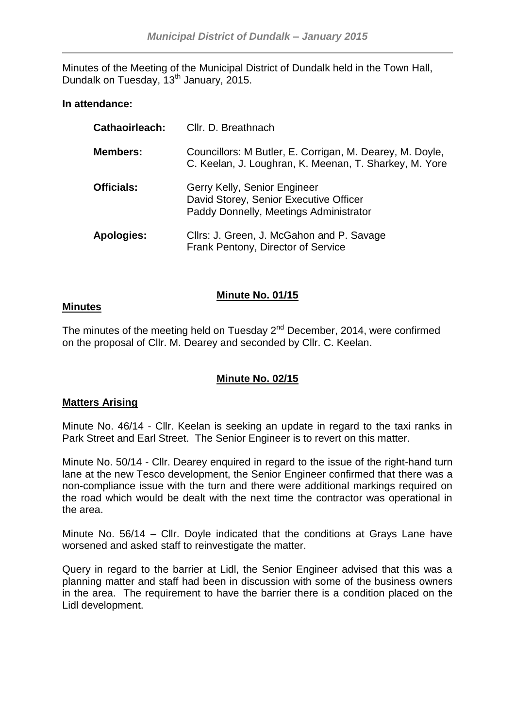Minutes of the Meeting of the Municipal District of Dundalk held in the Town Hall, Dundalk on Tuesday, 13<sup>th</sup> January, 2015.

# **In attendance:**

| <b>Cathaoirleach:</b> | Cllr. D. Breathnach                                                                                                |
|-----------------------|--------------------------------------------------------------------------------------------------------------------|
| <b>Members:</b>       | Councillors: M Butler, E. Corrigan, M. Dearey, M. Doyle,<br>C. Keelan, J. Loughran, K. Meenan, T. Sharkey, M. Yore |
| <b>Officials:</b>     | Gerry Kelly, Senior Engineer<br>David Storey, Senior Executive Officer<br>Paddy Donnelly, Meetings Administrator   |
| Apologies:            | Cllrs: J. Green, J. McGahon and P. Savage<br>Frank Pentony, Director of Service                                    |

# **Minute No. 01/15**

# **Minutes**

The minutes of the meeting held on Tuesday  $2^{nd}$  December, 2014, were confirmed on the proposal of Cllr. M. Dearey and seconded by Cllr. C. Keelan.

# **Minute No. 02/15**

# **Matters Arising**

Minute No. 46/14 - Cllr. Keelan is seeking an update in regard to the taxi ranks in Park Street and Earl Street. The Senior Engineer is to revert on this matter.

Minute No. 50/14 - Cllr. Dearey enquired in regard to the issue of the right-hand turn lane at the new Tesco development, the Senior Engineer confirmed that there was a non-compliance issue with the turn and there were additional markings required on the road which would be dealt with the next time the contractor was operational in the area.

Minute No. 56/14 – Cllr. Doyle indicated that the conditions at Grays Lane have worsened and asked staff to reinvestigate the matter.

Query in regard to the barrier at Lidl, the Senior Engineer advised that this was a planning matter and staff had been in discussion with some of the business owners in the area. The requirement to have the barrier there is a condition placed on the Lidl development.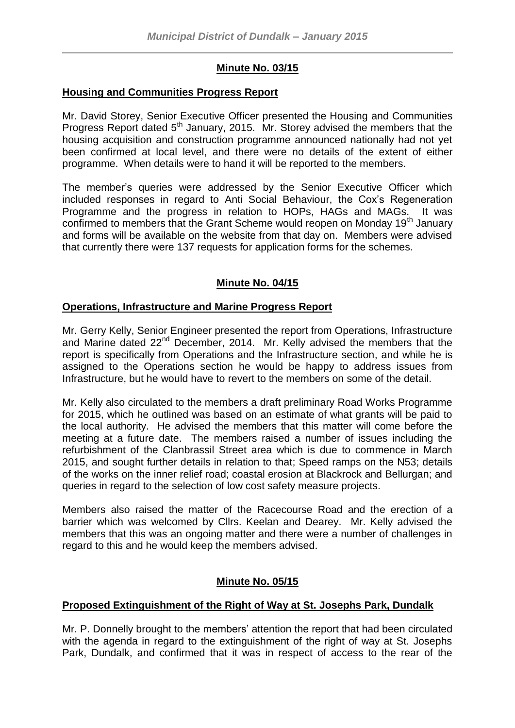# **Minute No. 03/15**

### **Housing and Communities Progress Report**

Mr. David Storey, Senior Executive Officer presented the Housing and Communities Progress Report dated 5<sup>th</sup> January, 2015. Mr. Storey advised the members that the housing acquisition and construction programme announced nationally had not yet been confirmed at local level, and there were no details of the extent of either programme. When details were to hand it will be reported to the members.

The member's queries were addressed by the Senior Executive Officer which included responses in regard to Anti Social Behaviour, the Cox's Regeneration Programme and the progress in relation to HOPs, HAGs and MAGs. It was confirmed to members that the Grant Scheme would reopen on Monday 19<sup>th</sup> January and forms will be available on the website from that day on. Members were advised that currently there were 137 requests for application forms for the schemes.

# **Minute No. 04/15**

# **Operations, Infrastructure and Marine Progress Report**

Mr. Gerry Kelly, Senior Engineer presented the report from Operations, Infrastructure and Marine dated 22<sup>nd</sup> December, 2014. Mr. Kelly advised the members that the report is specifically from Operations and the Infrastructure section, and while he is assigned to the Operations section he would be happy to address issues from Infrastructure, but he would have to revert to the members on some of the detail.

Mr. Kelly also circulated to the members a draft preliminary Road Works Programme for 2015, which he outlined was based on an estimate of what grants will be paid to the local authority. He advised the members that this matter will come before the meeting at a future date. The members raised a number of issues including the refurbishment of the Clanbrassil Street area which is due to commence in March 2015, and sought further details in relation to that; Speed ramps on the N53; details of the works on the inner relief road; coastal erosion at Blackrock and Bellurgan; and queries in regard to the selection of low cost safety measure projects.

Members also raised the matter of the Racecourse Road and the erection of a barrier which was welcomed by Cllrs. Keelan and Dearey. Mr. Kelly advised the members that this was an ongoing matter and there were a number of challenges in regard to this and he would keep the members advised.

# **Minute No. 05/15**

# **Proposed Extinguishment of the Right of Way at St. Josephs Park, Dundalk**

Mr. P. Donnelly brought to the members' attention the report that had been circulated with the agenda in regard to the extinguishment of the right of way at St. Josephs Park, Dundalk, and confirmed that it was in respect of access to the rear of the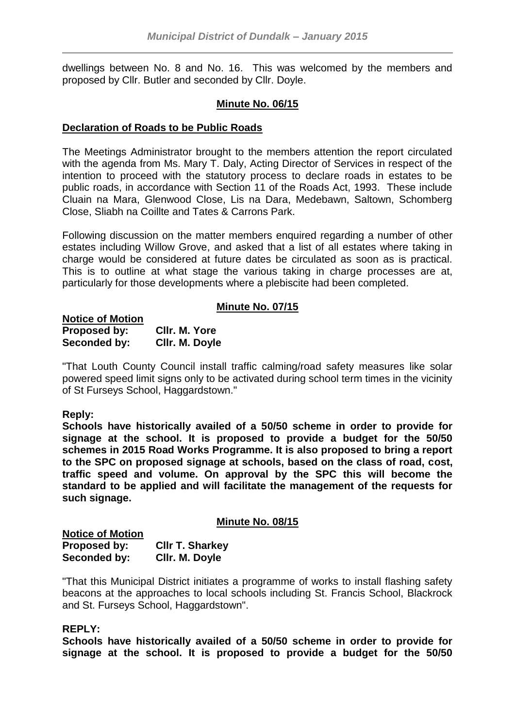dwellings between No. 8 and No. 16. This was welcomed by the members and proposed by Cllr. Butler and seconded by Cllr. Doyle.

# **Minute No. 06/15**

### **Declaration of Roads to be Public Roads**

The Meetings Administrator brought to the members attention the report circulated with the agenda from Ms. Mary T. Daly, Acting Director of Services in respect of the intention to proceed with the statutory process to declare roads in estates to be public roads, in accordance with Section 11 of the Roads Act, 1993. These include Cluain na Mara, Glenwood Close, Lis na Dara, Medebawn, Saltown, Schomberg Close, Sliabh na Coillte and Tates & Carrons Park.

Following discussion on the matter members enquired regarding a number of other estates including Willow Grove, and asked that a list of all estates where taking in charge would be considered at future dates be circulated as soon as is practical. This is to outline at what stage the various taking in charge processes are at, particularly for those developments where a plebiscite had been completed.

# **Minute No. 07/15**

| <b>Notice of Motion</b> |                |
|-------------------------|----------------|
| Proposed by:            | CIIr. M. Yore  |
| Seconded by:            | Cllr. M. Doyle |

"That Louth County Council install traffic calming/road safety measures like solar powered speed limit signs only to be activated during school term times in the vicinity of St Furseys School, Haggardstown."

#### **Reply:**

**Schools have historically availed of a 50/50 scheme in order to provide for signage at the school. It is proposed to provide a budget for the 50/50 schemes in 2015 Road Works Programme. It is also proposed to bring a report to the SPC on proposed signage at schools, based on the class of road, cost, traffic speed and volume. On approval by the SPC this will become the standard to be applied and will facilitate the management of the requests for such signage.**

#### **Minute No. 08/15**

| <b>Notice of Motion</b> |                        |
|-------------------------|------------------------|
| Proposed by:            | <b>CIIr T. Sharkey</b> |
| Seconded by:            | Cllr. M. Doyle         |

"That this Municipal District initiates a programme of works to install flashing safety beacons at the approaches to local schools including St. Francis School, Blackrock and St. Furseys School, Haggardstown".

#### **REPLY:**

**Schools have historically availed of a 50/50 scheme in order to provide for signage at the school. It is proposed to provide a budget for the 50/50**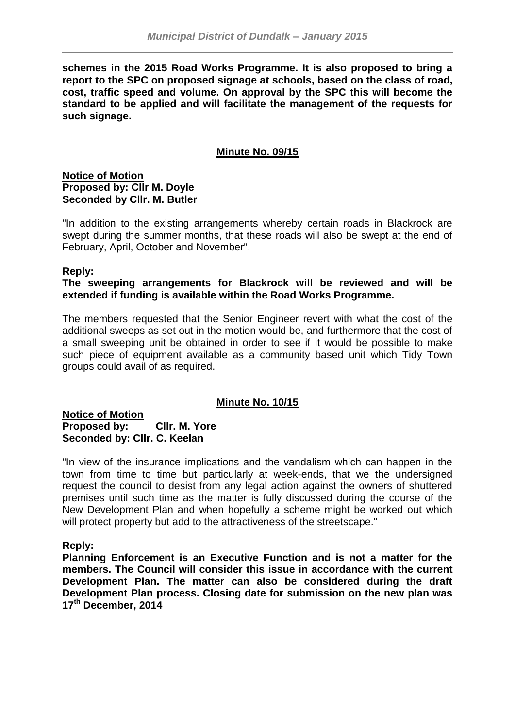**schemes in the 2015 Road Works Programme. It is also proposed to bring a report to the SPC on proposed signage at schools, based on the class of road, cost, traffic speed and volume. On approval by the SPC this will become the standard to be applied and will facilitate the management of the requests for such signage.**

# **Minute No. 09/15**

**Notice of Motion Proposed by: Cllr M. Doyle Seconded by Cllr. M. Butler**

"In addition to the existing arrangements whereby certain roads in Blackrock are swept during the summer months, that these roads will also be swept at the end of February, April, October and November".

# **Reply:**

# **The sweeping arrangements for Blackrock will be reviewed and will be extended if funding is available within the Road Works Programme.**

The members requested that the Senior Engineer revert with what the cost of the additional sweeps as set out in the motion would be, and furthermore that the cost of a small sweeping unit be obtained in order to see if it would be possible to make such piece of equipment available as a community based unit which Tidy Town groups could avail of as required.

# **Minute No. 10/15**

**Notice of Motion Proposed by: Cllr. M. Yore Seconded by: Cllr. C. Keelan**

"In view of the insurance implications and the vandalism which can happen in the town from time to time but particularly at week-ends, that we the undersigned request the council to desist from any legal action against the owners of shuttered premises until such time as the matter is fully discussed during the course of the New Development Plan and when hopefully a scheme might be worked out which will protect property but add to the attractiveness of the streetscape."

# **Reply:**

**Planning Enforcement is an Executive Function and is not a matter for the members. The Council will consider this issue in accordance with the current Development Plan. The matter can also be considered during the draft Development Plan process. Closing date for submission on the new plan was 17th December, 2014**